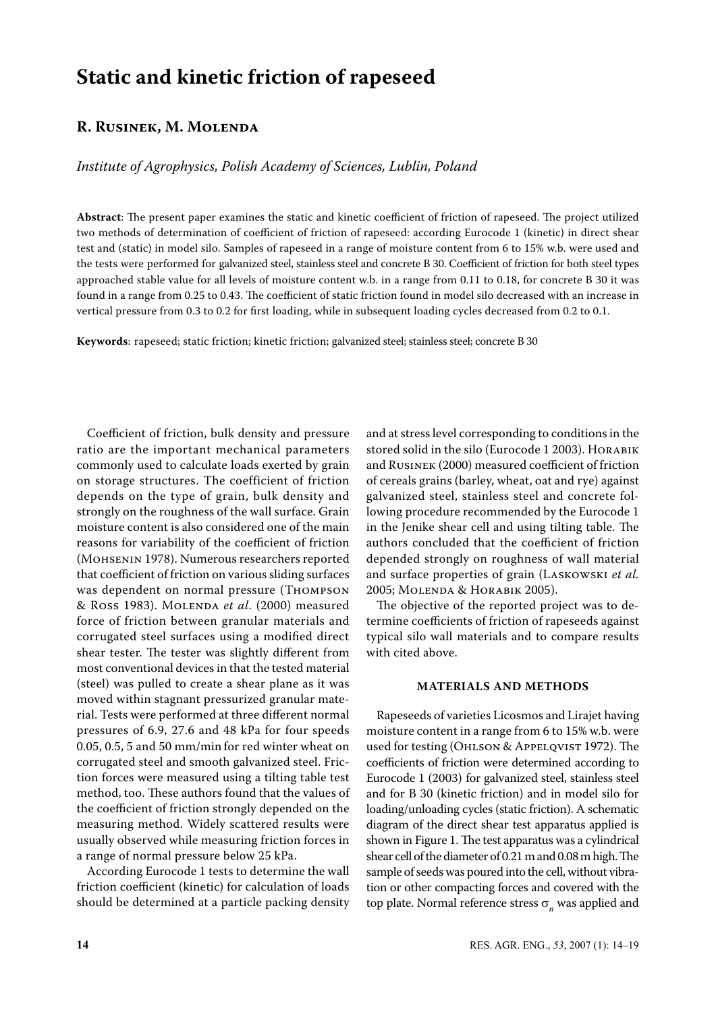# **Static and kinetic friction of rapeseed**

# **R. Rusinek, M. Molenda**

*Institute of Agrophysics, Polish Academy of Sciences, Lublin, Poland*

**Abstract**: The present paper examines the static and kinetic coefficient of friction of rapeseed. The project utilized two methods of determination of coefficient of friction of rapeseed: according Eurocode 1 (kinetic) in direct shear test and (static) in model silo. Samples of rapeseed in a range of moisture content from 6 to 15% w.b. were used and the tests were performed for galvanized steel, stainless steel and concrete B 30. Coefficient of friction for both steel types approached stable value for all levels of moisture content w.b. in a range from 0.11 to 0.18, for concrete B 30 it was found in a range from 0.25 to 0.43. The coefficient of static friction found in model silo decreased with an increase in vertical pressure from 0.3 to 0.2 for first loading, while in subsequent loading cycles decreased from 0.2 to 0.1.

**Keywords**: rapeseed; static friction; kinetic friction; galvanized steel; stainless steel; concrete B 30

Coefficient of friction, bulk density and pressure ratio are the important mechanical parameters commonly used to calculate loads exerted by grain on storage structures. The coefficient of friction depends on the type of grain, bulk density and strongly on the roughness of the wall surface. Grain moisture content is also considered one of the main reasons for variability of the coefficient of friction (Mohsenin 1978). Numerous researchers reported that coefficient of friction on various sliding surfaces was dependent on normal pressure (Thompson & Ross 1983). Molenda *et al*. (2000) measured force of friction between granular materials and corrugated steel surfaces using a modified direct shear tester. The tester was slightly different from most conventional devices in that the tested material (steel) was pulled to create a shear plane as it was moved within stagnant pressurized granular material. Tests were performed at three different normal pressures of 6.9, 27.6 and 48 kPa for four speeds 0.05, 0.5, 5 and 50 mm/min for red winter wheat on corrugated steel and smooth galvanized steel. Friction forces were measured using a tilting table test method, too. These authors found that the values of the coefficient of friction strongly depended on the measuring method. Widely scattered results were usually observed while measuring friction forces in a range of normal pressure below 25 kPa.

According Eurocode 1 tests to determine the wall friction coefficient (kinetic) for calculation of loads should be determined at a particle packing density

and at stress level corresponding to conditions in the stored solid in the silo (Eurocode 1 2003). Horabik and Rusinek (2000) measured coefficient of friction of cereals grains (barley, wheat, oat and rye) against galvanized steel, stainless steel and concrete following procedure recommended by the Eurocode 1 in the Jenike shear cell and using tilting table. The authors concluded that the coefficient of friction depended strongly on roughness of wall material and surface properties of grain (Laskowski *et al.* 2005; Molenda & Horabik 2005).

The objective of the reported project was to determine coefficients of friction of rapeseeds against typical silo wall materials and to compare results with cited above.

### **Materials and Methods**

Rapeseeds of varieties Licosmos and Lirajet having moisture content in a range from 6 to 15% w.b. were used for testing (Ohlson & Appelqvist 1972). The coefficients of friction were determined according to Eurocode 1 (2003) for galvanized steel, stainless steel and for B 30 (kinetic friction) and in model silo for loading/unloading cycles (static friction). A schematic diagram of the direct shear test apparatus applied is shown in Figure 1. The test apparatus was a cylindrical shear cell of the diameter of 0.21 m and 0.08 m high. The sample of seeds was poured into the cell, without vibration or other compacting forces and covered with the top plate. Normal reference stress  $\sigma_n^{\mathstrut}$  was applied and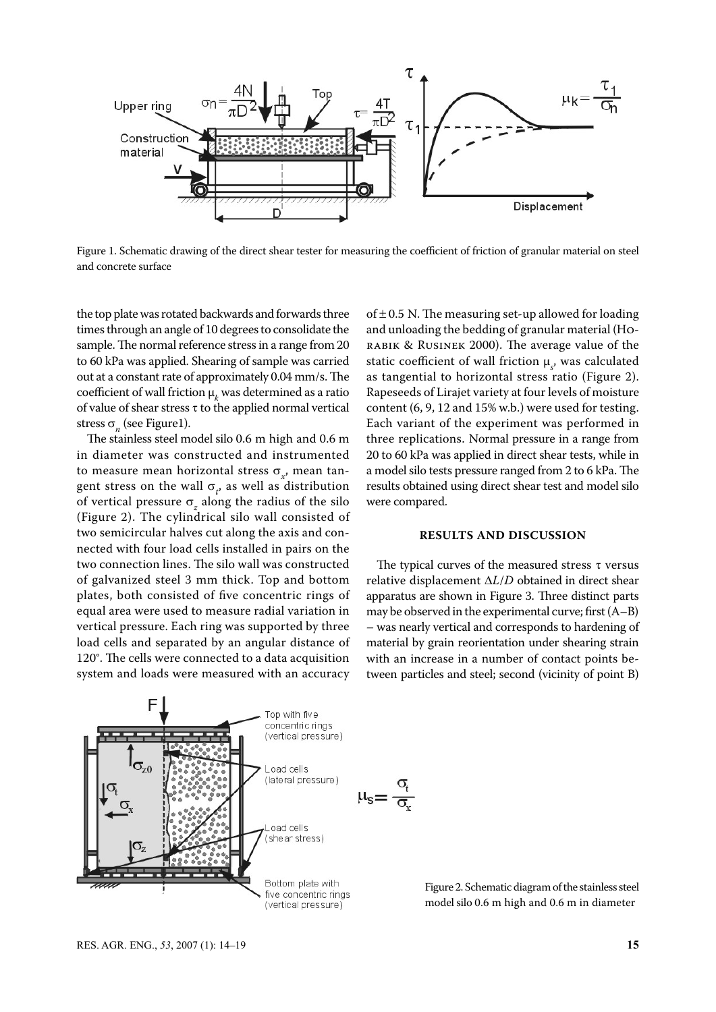

Figure 1. Schematic drawing of the direct shear tester for measuring the coefficient of friction of granular material on steel and concrete surface

the top plate was rotated backwards and forwards three times through an angle of 10 degrees to consolidate the sample. The normal reference stress in a range from 20 to 60 kPa was applied. Shearing of sample was carried out at a constant rate of approximately 0.04 mm/s. The coefficient of wall friction  $\mu_k$  was determined as a ratio of value of shear stress τ to the applied normal vertical stress  $\sigma_n$  (see Figure1).

The stainless steel model silo 0.6 m high and 0.6 m in diameter was constructed and instrumented to measure mean horizontal stress σ<sub>*x*</sub>, mean tangent stress on the wall  $\sigma_t$ , as well as distribution of vertical pressure σ*<sup>z</sup>* along the radius of the silo (Figure 2). The cylindrical silo wall consisted of two semicircular halves cut along the axis and connected with four load cells installed in pairs on the two connection lines. The silo wall was constructed of galvanized steel 3 mm thick. Top and bottom plates, both consisted of five concentric rings of equal area were used to measure radial variation in vertical pressure. Each ring was supported by three load cells and separated by an angular distance of 120°. The cells were connected to a data acquisition system and loads were measured with an accuracy

of  $\pm$  0.5 N. The measuring set-up allowed for loading and unloading the bedding of granular material (Horabik & Rusinek 2000). The average value of the static coefficient of wall friction  $\mu_s$ , was calculated as tangential to horizontal stress ratio (Figure 2). Rapeseeds of Lirajet variety at four levels of moisture content (6, 9, 12 and 15% w.b.) were used for testing. Each variant of the experiment was performed in three replications. Normal pressure in a range from 20 to 60 kPa was applied in direct shear tests, while in a model silo tests pressure ranged from 2 to 6 kPa. The results obtained using direct shear test and model silo were compared.

## **Results and Discussion**

The typical curves of the measured stress  $\tau$  versus relative displacement ∆*L*/*D* obtained in direct shear apparatus are shown in Figure 3. Three distinct parts may be observed in the experimental curve; first (A–B) – was nearly vertical and corresponds to hardening of material by grain reorientation under shearing strain with an increase in a number of contact points between particles and steel; second (vicinity of point B)



Figure 2. Schematic diagram of the stainless steel model silo 0.6 m high and 0.6 m in diameter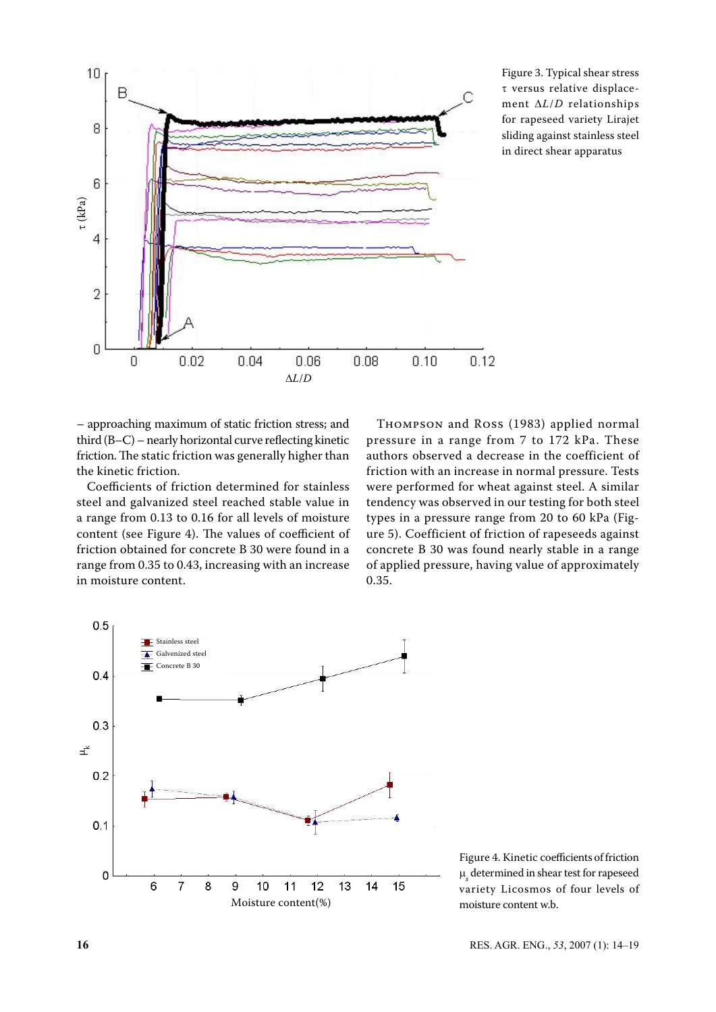

Figure 3. Typical shear stress τ versus relative displacement ∆*L*/*D* relationships for rapeseed variety Lirajet sliding against stainless steel in direct shear apparatus

– approaching maximum of static friction stress; and third (B–C) – nearly horizontal curve reflecting kinetic friction. The static friction was generally higher than the kinetic friction.

Coefficients of friction determined for stainless steel and galvanized steel reached stable value in a range from 0.13 to 0.16 for all levels of moisture content (see Figure 4). The values of coefficient of friction obtained for concrete B 30 were found in a range from 0.35 to 0.43, increasing with an increase in moisture content.

Thompson and Ross (1983) applied normal pressure in a range from 7 to 172 kPa. These authors observed a decrease in the coefficient of friction with an increase in normal pressure. Tests were performed for wheat against steel. A similar tendency was observed in our testing for both steel types in a pressure range from 20 to 60 kPa (Figure 5). Coefficient of friction of rapeseeds against concrete B 30 was found nearly stable in a range of applied pressure, having value of approximately 0.35.



Figure 4. Kinetic coefficients of friction  $\boldsymbol{\mu}_{\text{s}}$  determined in shear test for rape<br>seed variety Licosmos of four levels of moisture content w.b.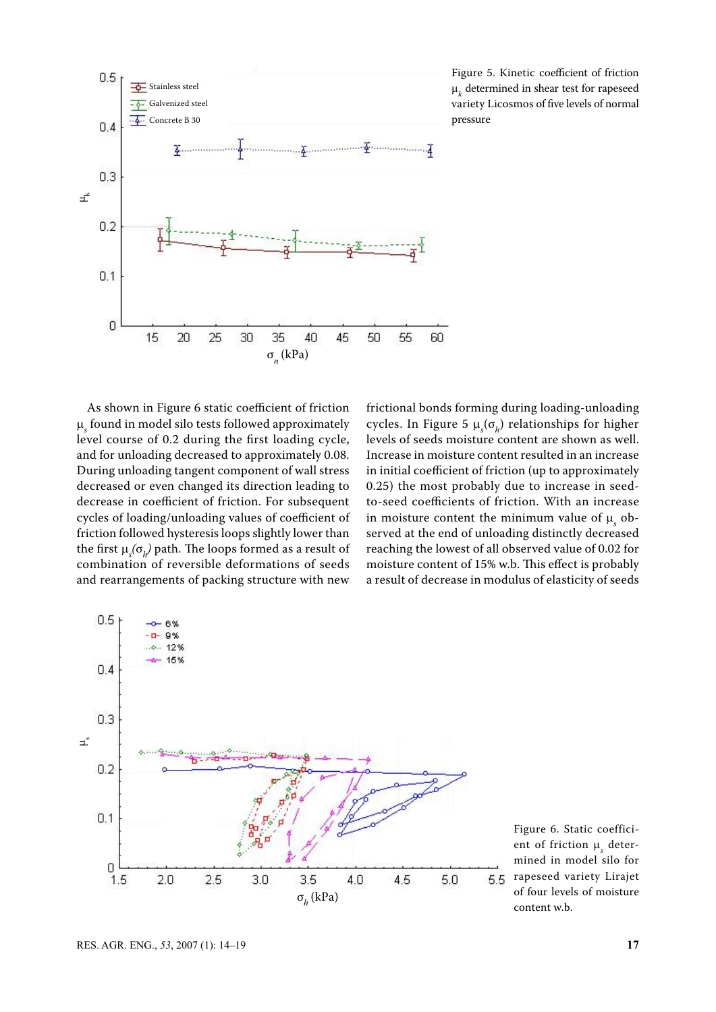

Figure 5. Kinetic coefficient of friction  $\boldsymbol{\mu}_k$  determined in shear test for rape<br>seed variety Licosmos of five levels of normal pressure

As shown in Figure 6 static coefficient of friction µ*s* found in model silo tests followed approximately level course of 0.2 during the first loading cycle, and for unloading decreased to approximately 0.08. During unloading tangent component of wall stress decreased or even changed its direction leading to decrease in coefficient of friction. For subsequent cycles of loading/unloading values of coefficient of friction followed hysteresis loops slightly lower than the first  $\mu_s(\sigma_h)$  path. The loops formed as a result of combination of reversible deformations of seeds and rearrangements of packing structure with new ุ้±<br>⊥<br>µservin<br>µervin<br>H

frictional bonds forming during loading-unloading cycles. In Figure 5  $\mu_s(\sigma_h)$  relationships for higher levels of seeds moisture content are shown as well. Increase in moisture content resulted in an increase in initial coefficient of friction (up to approximately 0.25) the most probably due to increase in seedto-seed coefficients of friction. With an increase in moisture content the minimum value of  $\mu_s$  observed at the end of unloading distinctly decreased reaching the lowest of all observed value of 0.02 for moisture content of 15% w.b. This effect is probably a result of decrease in modulus of elasticity of seeds



Figure 6. Static coefficient of friction  $\mu_s$  determined in model silo for rapeseed variety Lirajet of four levels of moisture content w.b.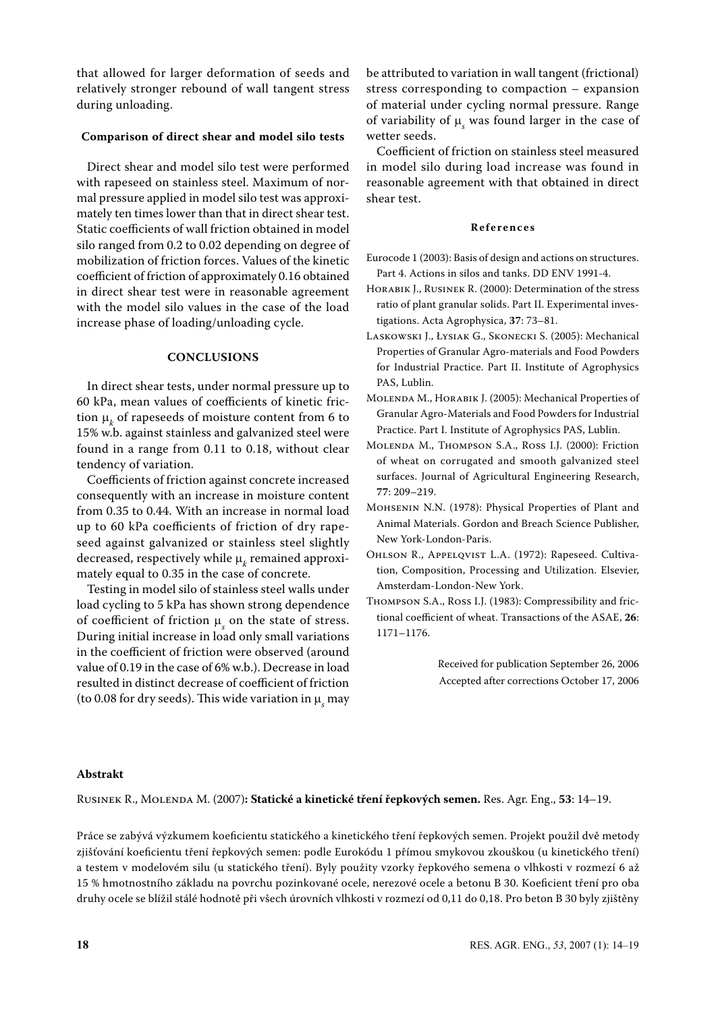that allowed for larger deformation of seeds and relatively stronger rebound of wall tangent stress during unloading.

# **Comparison of direct shear and model silo tests**

Direct shear and model silo test were performed with rapeseed on stainless steel. Maximum of normal pressure applied in model silo test was approximately ten times lower than that in direct shear test. Static coefficients of wall friction obtained in model silo ranged from 0.2 to 0.02 depending on degree of mobilization of friction forces. Values of the kinetic coefficient of friction of approximately 0.16 obtained in direct shear test were in reasonable agreement with the model silo values in the case of the load increase phase of loading/unloading cycle.

#### **Conclusions**

In direct shear tests, under normal pressure up to 60 kPa, mean values of coefficients of kinetic friction  $\mu_k$  of rapeseeds of moisture content from 6 to 15% w.b. against stainless and galvanized steel were found in a range from 0.11 to 0.18, without clear tendency of variation.

Coefficients of friction against concrete increased consequently with an increase in moisture content from 0.35 to 0.44. With an increase in normal load up to 60 kPa coefficients of friction of dry rapeseed against galvanized or stainless steel slightly decreased, respectively while  $\mu_k$  remained approximately equal to 0.35 in the case of concrete.

Testing in model silo of stainless steel walls under load cycling to 5 kPa has shown strong dependence of coefficient of friction  $\mu_s$  on the state of stress. During initial increase in load only small variations in the coefficient of friction were observed (around value of 0.19 in the case of 6% w.b.). Decrease in load resulted in distinct decrease of coefficient of friction (to 0.08 for dry seeds). This wide variation in  $\boldsymbol{\mu}_s$  may be attributed to variation in wall tangent (frictional) stress corresponding to compaction – expansion of material under cycling normal pressure. Range of variability of  $\mu_s$  was found larger in the case of wetter seeds.

Coefficient of friction on stainless steel measured in model silo during load increase was found in reasonable agreement with that obtained in direct shear test.

### **R e f e r e n c e s**

- Eurocode 1 (2003): Basis of design and actions on structures. Part 4. Actions in silos and tanks. DD ENV 1991-4.
- Horabik J., Rusinek R. (2000): Determination of the stress ratio of plant granular solids. Part II. Experimental investigations. Acta Agrophysica, **37**: 73–81.
- Laskowski J., Łysiak G., Skonecki S. (2005): Mechanical Properties of Granular Agro-materials and Food Powders for Industrial Practice. Part II. Institute of Agrophysics PAS, Lublin.
- Molenda M., Horabik J. (2005): Mechanical Properties of Granular Agro-Materials and Food Powders for Industrial Practice. Part I. Institute of Agrophysics PAS, Lublin.
- Molenda M., Thompson S.A., Ross I.J. (2000): Friction of wheat on corrugated and smooth galvanized steel surfaces. Journal of Agricultural Engineering Research, **77**: 209–219.
- Mohsenin N.N. (1978): Physical Properties of Plant and Animal Materials. Gordon and Breach Science Publisher, New York-London-Paris.
- Ohlson R., Appelqvist L.A. (1972): Rapeseed. Cultivation, Composition, Processing and Utilization. Elsevier, Amsterdam-London-New York.
- Thompson S.A., Ross I.J. (1983): Compressibility and frictional coefficient of wheat. Transactions of the ASAE, **26**: 1171–1176.

Received for publication September 26, 2006 Accepted after corrections October 17, 2006

# **Abstrakt**

Rusinek R., Molenda M. (2007)**: Statické a kinetické tření řepkových semen.** Res. Agr. Eng., **53**: 14–19.

Práce se zabývá výzkumem koeficientu statického a kinetického tření řepkových semen. Projekt použil dvě metody zjišťování koeficientu tření řepkových semen: podle Eurokódu 1 přímou smykovou zkouškou (u kinetického tření) a testem v modelovém silu (u statického tření). Byly použity vzorky řepkového semena o vlhkosti v rozmezí 6 až 15 % hmotnostního základu na povrchu pozinkované ocele, nerezové ocele a betonu B 30. Koeficient tření pro oba druhy ocele se blížil stálé hodnotě při všech úrovních vlhkosti v rozmezí od 0,11 do 0,18. Pro beton B 30 byly zjištěny